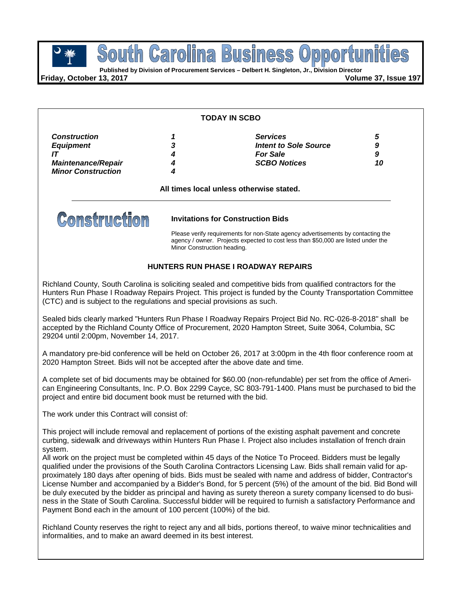Busin **POUTH GET OF BUSINGSS OP POOP TO PROPER**<br>
Published by Division of Procurement Services – Delbert H. Singleton, Jr., Division Director ina South Caro

**Friday, October 13, 2017 Volume 37, Issue 197**

#### **TODAY IN SCBO**

| <b>Construction</b>       |   | <b>Services</b>       | G  |
|---------------------------|---|-----------------------|----|
| <b>Equipment</b>          | 3 | Intent to Sole Source | 9  |
|                           |   | <b>For Sale</b>       | 9  |
| <b>Maintenance/Repair</b> |   | <b>SCBO Notices</b>   | 10 |
| <b>Minor Construction</b> |   |                       |    |

**All times local unless otherwise stated.**



### **Invitations for Construction Bids**

Please verify requirements for non-State agency advertisements by contacting the agency / owner. Projects expected to cost less than \$50,000 are listed under the Minor Construction heading.

### **HUNTERS RUN PHASE I ROADWAY REPAIRS**

Richland County, South Carolina is soliciting sealed and competitive bids from qualified contractors for the Hunters Run Phase I Roadway Repairs Project. This project is funded by the County Transportation Committee (CTC) and is subject to the regulations and special provisions as such.

Sealed bids clearly marked "Hunters Run Phase I Roadway Repairs Project Bid No. RC-026-8-2018" shall be accepted by the Richland County Office of Procurement, 2020 Hampton Street, Suite 3064, Columbia, SC 29204 until 2:00pm, November 14, 2017.

A mandatory pre-bid conference will be held on October 26, 2017 at 3:00pm in the 4th floor conference room at 2020 Hampton Street. Bids will not be accepted after the above date and time.

A complete set of bid documents may be obtained for \$60.00 (non-refundable) per set from the office of American Engineering Consultants, Inc. P.O. Box 2299 Cayce, SC 803-791-1400. Plans must be purchased to bid the project and entire bid document book must be returned with the bid.

The work under this Contract will consist of:

This project will include removal and replacement of portions of the existing asphalt pavement and concrete curbing, sidewalk and driveways within Hunters Run Phase I. Project also includes installation of french drain system.

All work on the project must be completed within 45 days of the Notice To Proceed. Bidders must be legally qualified under the provisions of the South Carolina Contractors Licensing Law. Bids shall remain valid for approximately 180 days after opening of bids. Bids must be sealed with name and address of bidder, Contractor's License Number and accompanied by a Bidder's Bond, for 5 percent (5%) of the amount of the bid. Bid Bond will be duly executed by the bidder as principal and having as surety thereon a surety company licensed to do business in the State of South Carolina. Successful bidder will be required to furnish a satisfactory Performance and Payment Bond each in the amount of 100 percent (100%) of the bid.

Richland County reserves the right to reject any and all bids, portions thereof, to waive minor technicalities and informalities, and to make an award deemed in its best interest.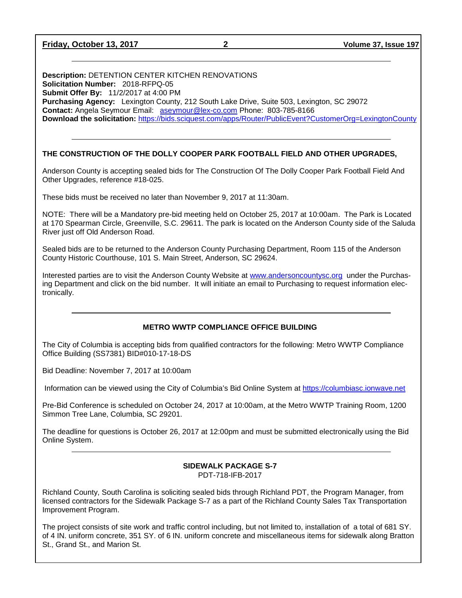**Friday, October 13, 2017 2 Volume 37, Issue 197**

**Description:** DETENTION CENTER KITCHEN RENOVATIONS **Solicitation Number:** 2018-RFPQ-05 **Submit Offer By:** 11/2/2017 at 4:00 PM **Purchasing Agency:** Lexington County, 212 South Lake Drive, Suite 503, Lexington, SC 29072 **Contact:** Angela Seymour Email: [aseymour@lex-co.com](mailto:aseymour@lex-co.com) Phone: 803-785-8166 **Download the solicitation:** <https://bids.sciquest.com/apps/Router/PublicEvent?CustomerOrg=LexingtonCounty>

# **THE CONSTRUCTION OF THE DOLLY COOPER PARK FOOTBALL FIELD AND OTHER UPGRADES,**

Anderson County is accepting sealed bids for The Construction Of The Dolly Cooper Park Football Field And Other Upgrades, reference #18-025.

These bids must be received no later than November 9, 2017 at 11:30am.

NOTE: There will be a Mandatory pre-bid meeting held on October 25, 2017 at 10:00am. The Park is Located at 170 Spearman Circle, Greenville, S.C. 29611. The park is located on the Anderson County side of the Saluda River just off Old Anderson Road.

Sealed bids are to be returned to the Anderson County Purchasing Department, Room 115 of the Anderson County Historic Courthouse, 101 S. Main Street, Anderson, SC 29624.

Interested parties are to visit the Anderson County Website at [www.andersoncountysc.org](http://www.andersoncountysc.org/) under the Purchasing Department and click on the bid number. It will initiate an email to Purchasing to request information electronically.

#### **METRO WWTP COMPLIANCE OFFICE BUILDING**

The City of Columbia is accepting bids from qualified contractors for the following: Metro WWTP Compliance Office Building (SS7381) BID#010-17-18-DS

Bid Deadline: November 7, 2017 at 10:00am

Information can be viewed using the City of Columbia's Bid Online System at [https://columbiasc.ionwave.net](https://columbiasc.ionwave.net/)

Pre-Bid Conference is scheduled on October 24, 2017 at 10:00am, at the Metro WWTP Training Room, 1200 Simmon Tree Lane, Columbia, SC 29201.

The deadline for questions is October 26, 2017 at 12:00pm and must be submitted electronically using the Bid Online System.

#### **SIDEWALK PACKAGE S-7** PDT-718-IFB-2017

Richland County, South Carolina is soliciting sealed bids through Richland PDT, the Program Manager, from licensed contractors for the Sidewalk Package S-7 as a part of the Richland County Sales Tax Transportation Improvement Program.

The project consists of site work and traffic control including, but not limited to, installation of a total of 681 SY. of 4 IN. uniform concrete, 351 SY. of 6 IN. uniform concrete and miscellaneous items for sidewalk along Bratton St., Grand St., and Marion St.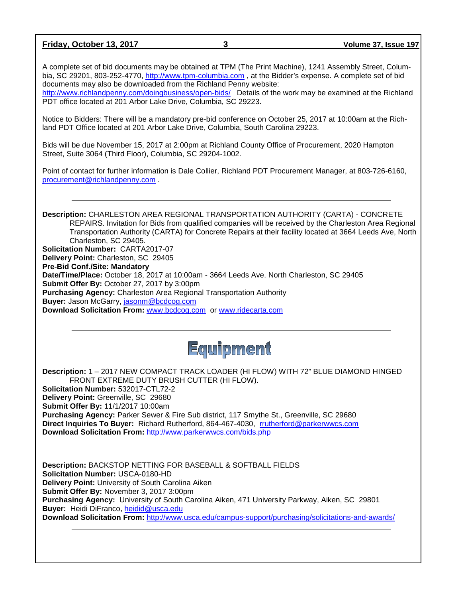**Friday, October 13, 2017 3 Volume 37, Issue 197**

A complete set of bid documents may be obtained at TPM (The Print Machine), 1241 Assembly Street, Columbia, SC 29201, 803-252-4770, [http://www.tpm-columbia.com](http://www.tpm-columbia.com/) , at the Bidder's expense. A complete set of bid documents may also be downloaded from the Richland Penny website:

<http://www.richlandpenny.com/doingbusiness/open-bids/> Details of the work may be examined at the Richland PDT office located at 201 Arbor Lake Drive, Columbia, SC 29223.

Notice to Bidders: There will be a mandatory pre-bid conference on October 25, 2017 at 10:00am at the Richland PDT Office located at 201 Arbor Lake Drive, Columbia, South Carolina 29223.

Bids will be due November 15, 2017 at 2:00pm at Richland County Office of Procurement, 2020 Hampton Street, Suite 3064 (Third Floor), Columbia, SC 29204-1002.

Point of contact for further information is Dale Collier, Richland PDT Procurement Manager, at 803-726-6160, [procurement@richlandpenny.com](mailto:procurement@richlandpenny.com) .

**Description:** CHARLESTON AREA REGIONAL TRANSPORTATION AUTHORITY (CARTA) - CONCRETE REPAIRS. Invitation for Bids from qualified companies will be received by the Charleston Area Regional Transportation Authority (CARTA) for Concrete Repairs at their facility located at 3664 Leeds Ave, North Charleston, SC 29405. **Solicitation Number:** CARTA2017-07 **Delivery Point:** Charleston, SC 29405 **Pre-Bid Conf./Site: Mandatory Date/Time/Place:** October 18, 2017 at 10:00am - 3664 Leeds Ave. North Charleston, SC 29405 **Submit Offer By:** October 27, 2017 by 3:00pm **Purchasing Agency:** Charleston Area Regional Transportation Authority **Buyer:** Jason McGarry, [jasonm@bcdcog.com](mailto:jasonm@bcdcog.com) **Download Solicitation From:** [www.bcdcog.com](http://www.bcdcog.com/) or [www.ridecarta.com](http://www.ridecarta.com/)



**Description:** 1 – 2017 NEW COMPACT TRACK LOADER (HI FLOW) WITH 72" BLUE DIAMOND HINGED FRONT EXTREME DUTY BRUSH CUTTER (HI FLOW).

**Solicitation Number:** 532017-CTL72-2 **Delivery Point:** Greenville, SC 29680 **Submit Offer By:** 11/1/2017 10:00am **Purchasing Agency:** Parker Sewer & Fire Sub district, 117 Smythe St., Greenville, SC 29680 **Direct Inquiries To Buyer:** Richard Rutherford, 864-467-4030, [rrutherford@parkerwwcs.com](mailto:rrutherford@parkerwwcs.com) **Download Solicitation From:** <http://www.parkerwwcs.com/bids.php>

**Description:** BACKSTOP NETTING FOR BASEBALL & SOFTBALL FIELDS **Solicitation Number:** USCA-0180-HD **Delivery Point:** University of South Carolina Aiken **Submit Offer By:** November 3, 2017 3:00pm **Purchasing Agency:** University of South Carolina Aiken, 471 University Parkway, Aiken, SC 29801 **Buyer:** Heidi DiFranco, [heidid@usca.edu](mailto:heidid@usca.edu) **Download Solicitation From:** <http://www.usca.edu/campus-support/purchasing/solicitations-and-awards/>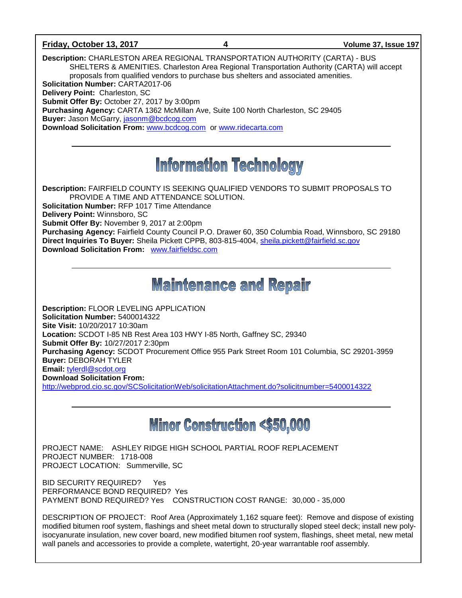### **Friday, October 13, 2017 4 Volume 37, Issue 197**

**Description:** CHARLESTON AREA REGIONAL TRANSPORTATION AUTHORITY (CARTA) - BUS SHELTERS & AMENITIES. Charleston Area Regional Transportation Authority (CARTA) will accept proposals from qualified vendors to purchase bus shelters and associated amenities. **Solicitation Number:** CARTA2017-06 **Delivery Point:** Charleston, SC **Submit Offer By:** October 27, 2017 by 3:00pm **Purchasing Agency:** CARTA 1362 McMillan Ave, Suite 100 North Charleston, SC 29405 **Buyer:** Jason McGarry, [jasonm@bcdcog.com](mailto:jasonm@bcdcog.com)

**Download Solicitation From:** [www.bcdcog.com](http://www.bcdcog.com/) or [www.ridecarta.com](http://www.ridecarta.com/)

# **Information Technology**

**Description:** FAIRFIELD COUNTY IS SEEKING QUALIFIED VENDORS TO SUBMIT PROPOSALS TO PROVIDE A TIME AND ATTENDANCE SOLUTION.

**Solicitation Number:** RFP 1017 Time Attendance

**Delivery Point:** Winnsboro, SC

**Submit Offer By:** November 9, 2017 at 2:00pm

**Purchasing Agency:** Fairfield County Council P.O. Drawer 60, 350 Columbia Road, Winnsboro, SC 29180 **Direct Inquiries To Buyer:** Sheila Pickett CPPB, 803-815-4004, [sheila.pickett@fairfield.sc.gov](mailto:sheila.pickett@fairfield.sc.gov) **Download Solicitation From:** [www.fairfieldsc.com](http://www.fairfieldsc.com/)

# **Maintenance and Repair**

**Description:** FLOOR LEVELING APPLICATION **Solicitation Number:** 5400014322 **Site Visit:** 10/20/2017 10:30am **Location:** SCDOT I-85 NB Rest Area 103 HWY I-85 North, Gaffney SC, 29340 **Submit Offer By:** 10/27/2017 2:30pm **Purchasing Agency:** SCDOT Procurement Office 955 Park Street Room 101 Columbia, SC 29201-3959 **Buyer:** DEBORAH TYLER **Email:** [tylerdl@scdot.org](mailto:tylerdl@scdot.org) **Download Solicitation From:**  <http://webprod.cio.sc.gov/SCSolicitationWeb/solicitationAttachment.do?solicitnumber=5400014322>

# **Minor Construction <\$50,000**

PROJECT NAME: ASHLEY RIDGE HIGH SCHOOL PARTIAL ROOF REPLACEMENT PROJECT NUMBER: 1718-008 PROJECT LOCATION: Summerville, SC

BID SECURITY REQUIRED? Yes PERFORMANCE BOND REQUIRED? Yes PAYMENT BOND REQUIRED? Yes CONSTRUCTION COST RANGE: 30,000 - 35,000

DESCRIPTION OF PROJECT: Roof Area (Approximately 1,162 square feet): Remove and dispose of existing modified bitumen roof system, flashings and sheet metal down to structurally sloped steel deck; install new polyisocyanurate insulation, new cover board, new modified bitumen roof system, flashings, sheet metal, new metal wall panels and accessories to provide a complete, watertight, 20-year warrantable roof assembly.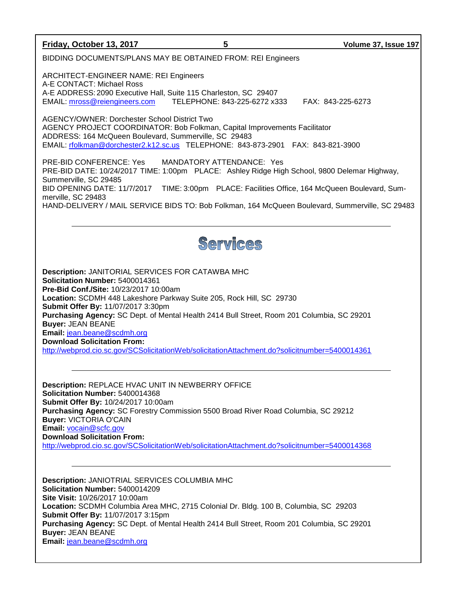**Friday, October 13, 2017 5 Volume 37, Issue 197** BIDDING DOCUMENTS/PLANS MAY BE OBTAINED FROM: REI Engineers ARCHITECT-ENGINEER NAME: REI Engineers A-E CONTACT: Michael Ross A-E ADDRESS: 2090 Executive Hall, Suite 115 Charleston, SC 29407 EMAIL: [mross@reiengineers.com](mailto:mross@reiengineers.com) TELEPHONE: 843-225-6272 x333 FAX: 843-225-6273 AGENCY/OWNER: Dorchester School District Two AGENCY PROJECT COORDINATOR: Bob Folkman, Capital Improvements Facilitator ADDRESS: 164 McQueen Boulevard, Summerville, SC 29483 EMAIL: [rfolkman@dorchester2.k12.sc.us](mailto:rfolkman@dorchester2.k12.sc.us) TELEPHONE: 843-873-2901 FAX: 843-821-3900 PRE-BID CONFERENCE: Yes MANDATORY ATTENDANCE: Yes PRE-BID DATE: 10/24/2017 TIME: 1:00pm PLACE: Ashley Ridge High School, 9800 Delemar Highway, Summerville, SC 29485 BID OPENING DATE: 11/7/2017 TIME: 3:00pm PLACE: Facilities Office, 164 McQueen Boulevard, Summerville, SC 29483 HAND-DELIVERY / MAIL SERVICE BIDS TO: Bob Folkman, 164 McQueen Boulevard, Summerville, SC 29483 Services **Description:** JANITORIAL SERVICES FOR CATAWBA MHC **Solicitation Number:** 5400014361 **Pre-Bid Conf./Site:** 10/23/2017 10:00am **Location:** SCDMH 448 Lakeshore Parkway Suite 205, Rock Hill, SC 29730 **Submit Offer By:** 11/07/2017 3:30pm **Purchasing Agency:** SC Dept. of Mental Health 2414 Bull Street, Room 201 Columbia, SC 29201 **Buyer:** JEAN BEANE **Email:** [jean.beane@scdmh.org](mailto:jean.beane@scdmh.org) **Download Solicitation From:**  <http://webprod.cio.sc.gov/SCSolicitationWeb/solicitationAttachment.do?solicitnumber=5400014361> **Description:** REPLACE HVAC UNIT IN NEWBERRY OFFICE **Solicitation Number:** 5400014368 **Submit Offer By:** 10/24/2017 10:00am **Purchasing Agency:** SC Forestry Commission 5500 Broad River Road Columbia, SC 29212 **Buyer:** VICTORIA O'CAIN **Email:** [vocain@scfc.gov](mailto:vocain@scfc.gov) **Download Solicitation From:**  <http://webprod.cio.sc.gov/SCSolicitationWeb/solicitationAttachment.do?solicitnumber=5400014368> **Description:** JANIOTRIAL SERVICES COLUMBIA MHC **Solicitation Number:** 5400014209 **Site Visit:** 10/26/2017 10:00am **Location:** SCDMH Columbia Area MHC, 2715 Colonial Dr. Bldg. 100 B, Columbia, SC 29203 **Submit Offer By:** 11/07/2017 3:15pm **Purchasing Agency:** SC Dept. of Mental Health 2414 Bull Street, Room 201 Columbia, SC 29201 **Buyer:** JEAN BEANE **Email:** [jean.beane@scdmh.org](mailto:jean.beane@scdmh.org)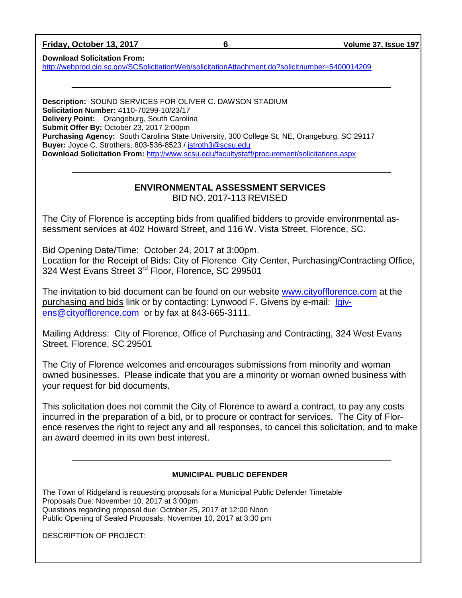**Friday, October 13, 2017 6 Volume 37, Issue 197**

**Download Solicitation From:** 

<http://webprod.cio.sc.gov/SCSolicitationWeb/solicitationAttachment.do?solicitnumber=5400014209>

**Description:** SOUND SERVICES FOR OLIVER C. DAWSON STADIUM **Solicitation Number:** 4110-70299-10/23/17 **Delivery Point:** Orangeburg, South Carolina **Submit Offer By:** October 23, 2017 2:00pm **Purchasing Agency:** South Carolina State University, 300 College St, NE, Orangeburg, SC 29117 **Buyer:** Joyce C. Strothers, 803-536-8523 / [jstroth3@scsu.edu](mailto:jstroth3@scsu.edu) **Download Solicitation From:** <http://www.scsu.edu/facultystaff/procurement/solicitations.aspx>

# **ENVIRONMENTAL ASSESSMENT SERVICES** BID NO. 2017-113 REVISED

The City of Florence is accepting bids from qualified bidders to provide environmental assessment services at 402 Howard Street, and 116 W. Vista Street, Florence, SC.

Bid Opening Date/Time: October 24, 2017 at 3:00pm. Location for the Receipt of Bids: City of Florence City Center, Purchasing/Contracting Office, 324 West Evans Street 3<sup>rd</sup> Floor, Florence, SC 299501

The invitation to bid document can be found on our website [www.cityofflorence.com](http://www.cityofflorence.com/) at the purchasing and bids link or by contacting: Lynwood F. Givens by e-mail: [lgiv](mailto:lgivens@cityofflorence.com)[ens@cityofflorence.com](mailto:lgivens@cityofflorence.com) or by fax at 843-665-3111.

Mailing Address: City of Florence, Office of Purchasing and Contracting, 324 West Evans Street, Florence, SC 29501

The City of Florence welcomes and encourages submissions from minority and woman owned businesses. Please indicate that you are a minority or woman owned business with your request for bid documents.

This solicitation does not commit the City of Florence to award a contract, to pay any costs incurred in the preparation of a bid, or to procure or contract for services. The City of Florence reserves the right to reject any and all responses, to cancel this solicitation, and to make an award deemed in its own best interest.

### **MUNICIPAL PUBLIC DEFENDER**

The Town of Ridgeland is requesting proposals for a Municipal Public Defender Timetable Proposals Due: November 10, 2017 at 3:00pm Questions regarding proposal due: October 25, 2017 at 12:00 Noon Public Opening of Sealed Proposals: November 10, 2017 at 3:30 pm

DESCRIPTION OF PROJECT: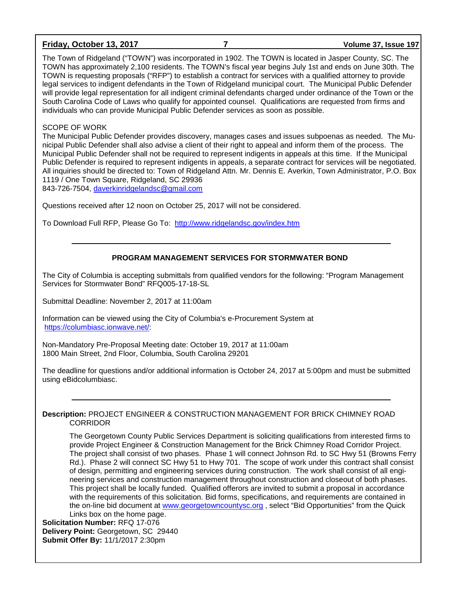### **Friday, October 13, 2017 7 Volume 37, Issue 197**

The Town of Ridgeland ("TOWN") was incorporated in 1902. The TOWN is located in Jasper County, SC. The TOWN has approximately 2,100 residents. The TOWN's fiscal year begins July 1st and ends on June 30th. The TOWN is requesting proposals ("RFP") to establish a contract for services with a qualified attorney to provide legal services to indigent defendants in the Town of Ridgeland municipal court. The Municipal Public Defender will provide legal representation for all indigent criminal defendants charged under ordinance of the Town or the South Carolina Code of Laws who qualify for appointed counsel. Qualifications are requested from firms and individuals who can provide Municipal Public Defender services as soon as possible.

#### SCOPE OF WORK

The Municipal Public Defender provides discovery, manages cases and issues subpoenas as needed. The Municipal Public Defender shall also advise a client of their right to appeal and inform them of the process. The Municipal Public Defender shall not be required to represent indigents in appeals at this time. If the Municipal Public Defender is required to represent indigents in appeals, a separate contract for services will be negotiated. All inquiries should be directed to: Town of Ridgeland Attn. Mr. Dennis E. Averkin, Town Administrator, P.O. Box 1119 / One Town Square, Ridgeland, SC 29936 843-726-7504, [daverkinridgelandsc@gmail.com](mailto:daverkinridgelandsc@gmail.com)

Questions received after 12 noon on October 25, 2017 will not be considered.

To Download Full RFP, Please Go To: <http://www.ridgelandsc.gov/index.htm>

# **PROGRAM MANAGEMENT SERVICES FOR STORMWATER BOND**

The City of Columbia is accepting submittals from qualified vendors for the following: "Program Management Services for Stormwater Bond" RFQ005-17-18-SL

Submittal Deadline: November 2, 2017 at 11:00am

Information can be viewed using the City of Columbia's e-Procurement System at [https://columbiasc.ionwave.net/:](https://columbiasc.ionwave.net/)

Non-Mandatory Pre-Proposal Meeting date: October 19, 2017 at 11:00am 1800 Main Street, 2nd Floor, Columbia, South Carolina 29201

The deadline for questions and/or additional information is October 24, 2017 at 5:00pm and must be submitted using eBidcolumbiasc.

#### **Description:** PROJECT ENGINEER & CONSTRUCTION MANAGEMENT FOR BRICK CHIMNEY ROAD CORRIDOR

The Georgetown County Public Services Department is soliciting qualifications from interested firms to provide Project Engineer & Construction Management for the Brick Chimney Road Corridor Project. The project shall consist of two phases. Phase 1 will connect Johnson Rd. to SC Hwy 51 (Browns Ferry Rd.). Phase 2 will connect SC Hwy 51 to Hwy 701. The scope of work under this contract shall consist of design, permitting and engineering services during construction. The work shall consist of all engineering services and construction management throughout construction and closeout of both phases. This project shall be locally funded. Qualified offerors are invited to submit a proposal in accordance with the requirements of this solicitation. Bid forms, specifications, and requirements are contained in the on-line bid document at [www.georgetowncountysc.org](http://www.georgetowncountysc.org/) , select "Bid Opportunities" from the Quick Links box on the home page.

**Solicitation Number:** RFQ 17-076 **Delivery Point:** Georgetown, SC 29440 **Submit Offer By:** 11/1/2017 2:30pm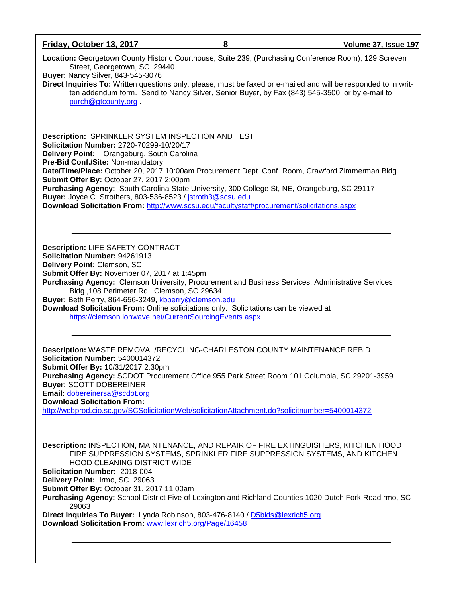**Friday, October 13, 2017 8 Volume 37, Issue 197**

**Location:** Georgetown County Historic Courthouse, Suite 239, (Purchasing Conference Room), 129 Screven Street, Georgetown, SC 29440.

**Buyer:** Nancy Silver, 843-545-3076

**Direct Inquiries To:** Written questions only, please, must be faxed or e-mailed and will be responded to in written addendum form. Send to Nancy Silver, Senior Buyer, by Fax (843) 545-3500, or by e-mail to [purch@gtcounty.org](mailto:purch@gtcounty.org) .

**Description:** SPRINKLER SYSTEM INSPECTION AND TEST **Solicitation Number:** 2720-70299-10/20/17 **Delivery Point:** Orangeburg, South Carolina **Pre-Bid Conf./Site:** Non-mandatory **Date/Time/Place:** October 20, 2017 10:00am Procurement Dept. Conf. Room, Crawford Zimmerman Bldg. **Submit Offer By:** October 27, 2017 2:00pm **Purchasing Agency:** South Carolina State University, 300 College St, NE, Orangeburg, SC 29117 **Buyer:** Joyce C. Strothers, 803-536-8523 / [jstroth3@scsu.edu](mailto:jstroth3@scsu.edu) **Download Solicitation From:** <http://www.scsu.edu/facultystaff/procurement/solicitations.aspx>

**Description:** LIFE SAFETY CONTRACT **Solicitation Number:** 94261913 **Delivery Point:** Clemson, SC **Submit Offer By:** November 07, 2017 at 1:45pm **Purchasing Agency:** Clemson University, Procurement and Business Services, Administrative Services Bldg.,108 Perimeter Rd., Clemson, SC 29634 **Buyer:** Beth Perry, 864-656-3249, [kbperry@clemson.edu](mailto:kbperry@clemson.edu) **Download Solicitation From:** Online solicitations only. Solicitations can be viewed at <https://clemson.ionwave.net/CurrentSourcingEvents.aspx>

**Description:** WASTE REMOVAL/RECYCLING-CHARLESTON COUNTY MAINTENANCE REBID **Solicitation Number:** 5400014372 **Submit Offer By:** 10/31/2017 2:30pm **Purchasing Agency:** SCDOT Procurement Office 955 Park Street Room 101 Columbia, SC 29201-3959 **Buyer:** SCOTT DOBEREINER **Email:** [dobereinersa@scdot.org](mailto:dobereinersa@scdot.org) **Download Solicitation From:**  <http://webprod.cio.sc.gov/SCSolicitationWeb/solicitationAttachment.do?solicitnumber=5400014372>

**Description:** INSPECTION, MAINTENANCE, AND REPAIR OF FIRE EXTINGUISHERS, KITCHEN HOOD FIRE SUPPRESSION SYSTEMS, SPRINKLER FIRE SUPPRESSION SYSTEMS, AND KITCHEN HOOD CLEANING DISTRICT WIDE **Solicitation Number:** 2018-004 **Delivery Point:** Irmo, SC 29063 **Submit Offer By:** October 31, 2017 11:00am **Purchasing Agency:** School District Five of Lexington and Richland Counties 1020 Dutch Fork RoadIrmo, SC 29063 **Direct Inquiries To Buyer:** Lynda Robinson, 803-476-8140 / [D5bids@lexrich5.org](mailto:D5bids@lexrich5.org) **Download Solicitation From:** [www.lexrich5.org/Page/16458](http://www.lexrich5.org/Page/16458)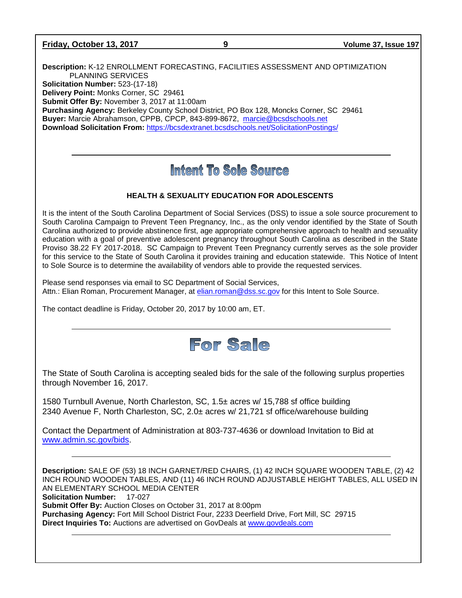| Friday, October 13, 2017 |  |  |
|--------------------------|--|--|
|--------------------------|--|--|

**Description:** K-12 ENROLLMENT FORECASTING, FACILITIES ASSESSMENT AND OPTIMIZATION PLANNING SERVICES **Solicitation Number:** 523-(17-18) **Delivery Point:** Monks Corner, SC 29461 **Submit Offer By:** November 3, 2017 at 11:00am **Purchasing Agency:** Berkeley County School District, PO Box 128, Moncks Corner, SC 29461 **Buyer:** Marcie Abrahamson, CPPB, CPCP, 843-899-8672, [marcie@bcsdschools.net](mailto:marcie@bcsdschools.net) **Download Solicitation From:** <https://bcsdextranet.bcsdschools.net/SolicitationPostings/>

# Intent To Sole Source

# **HEALTH & SEXUALITY EDUCATION FOR ADOLESCENTS**

It is the intent of the South Carolina Department of Social Services (DSS) to issue a sole source procurement to South Carolina Campaign to Prevent Teen Pregnancy, Inc., as the only vendor identified by the State of South Carolina authorized to provide abstinence first, age appropriate comprehensive approach to health and sexuality education with a goal of preventive adolescent pregnancy throughout South Carolina as described in the State Proviso 38.22 FY 2017-2018. SC Campaign to Prevent Teen Pregnancy currently serves as the sole provider for this service to the State of South Carolina it provides training and education statewide. This Notice of Intent to Sole Source is to determine the availability of vendors able to provide the requested services.

Please send responses via email to SC Department of Social Services, Attn.: Elian Roman, Procurement Manager, at [elian.roman@dss.sc.gov](mailto:elian.roman@dss.sc.gov) for this Intent to Sole Source.

The contact deadline is Friday, October 20, 2017 by 10:00 am, ET.



The State of South Carolina is accepting sealed bids for the sale of the following surplus properties through November 16, 2017.

1580 Turnbull Avenue, North Charleston, SC, 1.5± acres w/ 15,788 sf office building 2340 Avenue F, North Charleston, SC, 2.0± acres w/ 21,721 sf office/warehouse building

Contact the Department of Administration at 803-737-4636 or download Invitation to Bid at [www.admin.sc.gov/bids.](http://www.admin.sc.gov/bids)

**Description:** SALE OF (53) 18 INCH GARNET/RED CHAIRS, (1) 42 INCH SQUARE WOODEN TABLE, (2) 42 INCH ROUND WOODEN TABLES, AND (11) 46 INCH ROUND ADJUSTABLE HEIGHT TABLES, ALL USED IN AN ELEMENTARY SCHOOL MEDIA CENTER **Solicitation Number:** 17-027 **Submit Offer By:** Auction Closes on October 31, 2017 at 8:00pm **Purchasing Agency:** Fort Mill School District Four, 2233 Deerfield Drive, Fort Mill, SC 29715 **Direct Inquiries To:** Auctions are advertised on GovDeals at [www.govdeals.com](http://www.govdeals.com/)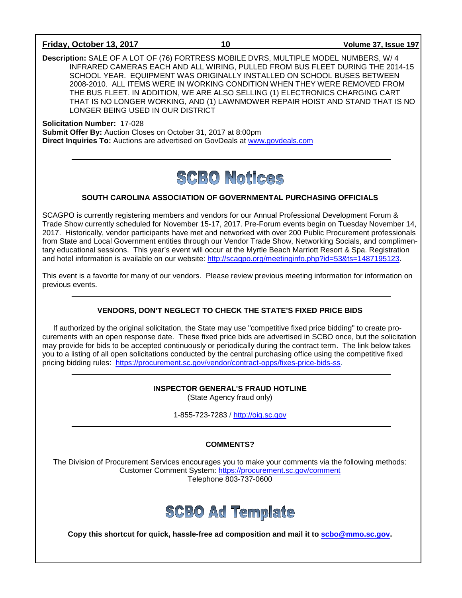#### **Friday, October 13, 2017 10 Volume 37, Issue 197**

**Description:** SALE OF A LOT OF (76) FORTRESS MOBILE DVRS, MULTIPLE MODEL NUMBERS, W/ 4 INFRARED CAMERAS EACH AND ALL WIRING, PULLED FROM BUS FLEET DURING THE 2014-15 SCHOOL YEAR. EQUIPMENT WAS ORIGINALLY INSTALLED ON SCHOOL BUSES BETWEEN 2008-2010. ALL ITEMS WERE IN WORKING CONDITION WHEN THEY WERE REMOVED FROM THE BUS FLEET. IN ADDITION, WE ARE ALSO SELLING (1) ELECTRONICS CHARGING CART THAT IS NO LONGER WORKING, AND (1) LAWNMOWER REPAIR HOIST AND STAND THAT IS NO LONGER BEING USED IN OUR DISTRICT

**Solicitation Number:** 17-028 **Submit Offer By:** Auction Closes on October 31, 2017 at 8:00pm **Direct Inquiries To:** Auctions are advertised on GovDeals at [www.govdeals.com](http://www.govdeals.com/)

# **SCBO Notices**

### **SOUTH CAROLINA ASSOCIATION OF GOVERNMENTAL PURCHASING OFFICIALS**

SCAGPO is currently registering members and vendors for our Annual Professional Development Forum & Trade Show currently scheduled for November 15-17, 2017. Pre-Forum events begin on Tuesday November 14, 2017. Historically, vendor participants have met and networked with over 200 Public Procurement professionals from State and Local Government entities through our Vendor Trade Show, Networking Socials, and complimentary educational sessions. This year's event will occur at the Myrtle Beach Marriott Resort & Spa. Registration and hotel information is available on our website: [http://scagpo.org/meetinginfo.php?id=53&ts=1487195123.](http://scagpo.org/meetinginfo.php?id=53&ts=1487195123)

This event is a favorite for many of our vendors. Please review previous meeting information for information on previous events.

# **VENDORS, DON'T NEGLECT TO CHECK THE STATE'S FIXED PRICE BIDS**

If authorized by the original solicitation, the State may use "competitive fixed price bidding" to create procurements with an open response date. These fixed price bids are advertised in SCBO once, but the solicitation may provide for bids to be accepted continuously or periodically during the contract term. The link below takes you to a listing of all open solicitations conducted by the central purchasing office using the competitive fixed pricing bidding rules: [https://procurement.sc.gov/vendor/contract-opps/fixes-price-bids-ss.](https://procurement.sc.gov/vendor/contract-opps/fixes-price-bids-ss)

# **INSPECTOR GENERAL'S FRAUD HOTLINE**

(State Agency fraud only)

1-855-723-7283 / [http://oig.sc.gov](http://oig.sc.gov/)

# **COMMENTS?**

The Division of Procurement Services encourages you to make your comments via the following methods: Customer Comment System:<https://procurement.sc.gov/comment> Telephone 803-737-0600



**Copy this shortcut for quick, hassle-free ad composition and mail it to [scbo@mmo.sc.gov.](mailto:scbo@mmo.sc.gov)**